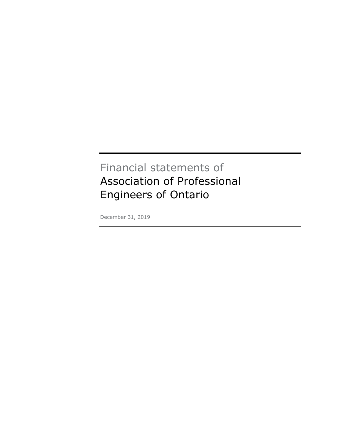# Financial statements of Association of Professional Engineers of Ontario

December 31, 2019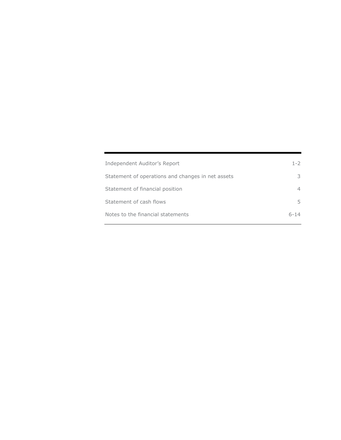| Independent Auditor's Report                      | $1 - 2$  |
|---------------------------------------------------|----------|
| Statement of operations and changes in net assets |          |
| Statement of financial position                   |          |
| Statement of cash flows                           | 5        |
| Notes to the financial statements                 | $6 - 14$ |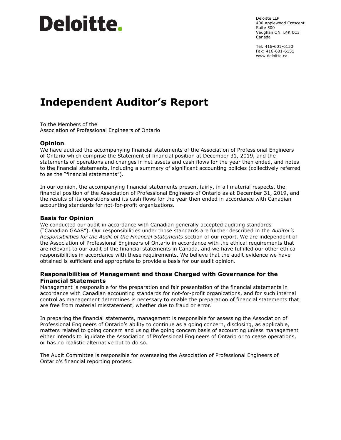# **Deloitte.**

Deloitte LLP 400 Applewood Crescent Suite 500 Vaughan ON L4K 0C3 Canada

Tel: 416-601-6150 Fax: 416-601-6151 www.deloitte.ca

# Independent Auditor's Report

To the Members of the Association of Professional Engineers of Ontario

# **Opinion**

We have audited the accompanying financial statements of the Association of Professional Engineers of Ontario which comprise the Statement of financial position at December 31, 2019, and the statements of operations and changes in net assets and cash flows for the year then ended, and notes to the financial statements, including a summary of significant accounting policies (collectively referred to as the "financial statements").

In our opinion, the accompanying financial statements present fairly, in all material respects, the financial position of the Association of Professional Engineers of Ontario as at December 31, 2019, and the results of its operations and its cash flows for the year then ended in accordance with Canadian accounting standards for not-for-profit organizations.

#### Basis for Opinion

We conducted our audit in accordance with Canadian generally accepted auditing standards ("Canadian GAAS"). Our responsibilities under those standards are further described in the Auditor's Responsibilities for the Audit of the Financial Statements section of our report. We are independent of the Association of Professional Engineers of Ontario in accordance with the ethical requirements that are relevant to our audit of the financial statements in Canada, and we have fulfilled our other ethical responsibilities in accordance with these requirements. We believe that the audit evidence we have obtained is sufficient and appropriate to provide a basis for our audit opinion.

#### Responsibilities of Management and those Charged with Governance for the Financial Statements

Management is responsible for the preparation and fair presentation of the financial statements in accordance with Canadian accounting standards for not-for-profit organizations, and for such internal control as management determines is necessary to enable the preparation of financial statements that are free from material misstatement, whether due to fraud or error.

In preparing the financial statements, management is responsible for assessing the Association of Professional Engineers of Ontario's ability to continue as a going concern, disclosing, as applicable, matters related to going concern and using the going concern basis of accounting unless management either intends to liquidate the Association of Professional Engineers of Ontario or to cease operations, or has no realistic alternative but to do so.

The Audit Committee is responsible for overseeing the Association of Professional Engineers of Ontario's financial reporting process.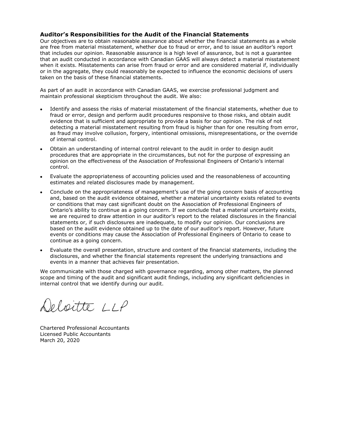#### Auditor's Responsibilities for the Audit of the Financial Statements

Our objectives are to obtain reasonable assurance about whether the financial statements as a whole are free from material misstatement, whether due to fraud or error, and to issue an auditor's report that includes our opinion. Reasonable assurance is a high level of assurance, but is not a guarantee that an audit conducted in accordance with Canadian GAAS will always detect a material misstatement when it exists. Misstatements can arise from fraud or error and are considered material if, individually or in the aggregate, they could reasonably be expected to influence the economic decisions of users taken on the basis of these financial statements.

As part of an audit in accordance with Canadian GAAS, we exercise professional judgment and maintain professional skepticism throughout the audit. We also:

- Identify and assess the risks of material misstatement of the financial statements, whether due to fraud or error, design and perform audit procedures responsive to those risks, and obtain audit evidence that is sufficient and appropriate to provide a basis for our opinion. The risk of not detecting a material misstatement resulting from fraud is higher than for one resulting from error, as fraud may involve collusion, forgery, intentional omissions, misrepresentations, or the override of internal control.
- Obtain an understanding of internal control relevant to the audit in order to design audit procedures that are appropriate in the circumstances, but not for the purpose of expressing an opinion on the effectiveness of the Association of Professional Engineers of Ontario's internal control.
- Evaluate the appropriateness of accounting policies used and the reasonableness of accounting estimates and related disclosures made by management.
- Conclude on the appropriateness of management's use of the going concern basis of accounting and, based on the audit evidence obtained, whether a material uncertainty exists related to events or conditions that may cast significant doubt on the Association of Professional Engineers of Ontario's ability to continue as a going concern. If we conclude that a material uncertainty exists, we are required to draw attention in our auditor's report to the related disclosures in the financial statements or, if such disclosures are inadequate, to modify our opinion. Our conclusions are based on the audit evidence obtained up to the date of our auditor's report. However, future events or conditions may cause the Association of Professional Engineers of Ontario to cease to continue as a going concern.
- Evaluate the overall presentation, structure and content of the financial statements, including the  $\bullet$ disclosures, and whether the financial statements represent the underlying transactions and events in a manner that achieves fair presentation.

We communicate with those charged with governance regarding, among other matters, the planned scope and timing of the audit and significant audit findings, including any significant deficiencies in internal control that we identify during our audit.

Oeloitte LLP

Chartered Professional Accountants Licensed Public Accountants March 20, 2020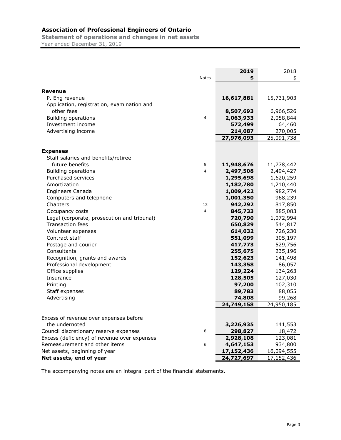# Association of Professional Engineers of Ontario

Statement of operations and changes in net assets Year ended December 31, 2019

|                                                          |                | 2019       | 2018       |
|----------------------------------------------------------|----------------|------------|------------|
|                                                          | <b>Notes</b>   | \$         | \$         |
|                                                          |                |            |            |
| Revenue                                                  |                |            |            |
| P. Eng revenue                                           |                | 16,617,881 | 15,731,903 |
| Application, registration, examination and<br>other fees |                |            |            |
|                                                          | $\overline{4}$ | 8,507,693  | 6,966,526  |
| <b>Building operations</b><br>Investment income          |                | 2,063,933  | 2,058,844  |
|                                                          |                | 572,499    | 64,460     |
| Advertising income                                       |                | 214,087    | 270,005    |
|                                                          |                | 27,976,093 | 25,091,738 |
| <b>Expenses</b>                                          |                |            |            |
| Staff salaries and benefits/retiree                      |                |            |            |
| future benefits                                          | 9              | 11,948,676 | 11,778,442 |
| <b>Building operations</b>                               | 4              | 2,497,508  | 2,494,427  |
| Purchased services                                       |                | 1,295,698  | 1,620,259  |
| Amortization                                             |                | 1,182,780  | 1,210,440  |
| Engineers Canada                                         |                | 1,009,422  | 982,774    |
| Computers and telephone                                  |                | 1,001,350  | 968,239    |
| Chapters                                                 | 13             | 942,292    | 817,850    |
| Occupancy costs                                          | $\overline{4}$ | 845,733    | 885,083    |
| Legal (corporate, prosecution and tribunal)              |                | 720,790    | 1,072,994  |
| <b>Transaction fees</b>                                  |                | 650,829    | 544,817    |
| Volunteer expenses                                       |                | 614,032    | 726,230    |
| Contract staff                                           |                | 551,099    | 305,197    |
| Postage and courier                                      |                | 417,773    | 529,756    |
| Consultants                                              |                | 255,675    | 235,196    |
| Recognition, grants and awards                           |                | 152,623    | 141,498    |
| Professional development                                 |                | 143,358    | 86,057     |
| Office supplies                                          |                | 129,224    | 134,263    |
| Insurance                                                |                | 128,505    | 127,030    |
| Printing                                                 |                | 97,200     | 102,310    |
| Staff expenses                                           |                | 89,783     | 88,055     |
| Advertising                                              |                | 74,808     | 99,268     |
|                                                          |                | 24,749,158 | 24,950,185 |
|                                                          |                |            |            |
| Excess of revenue over expenses before                   |                |            |            |
| the undernoted                                           |                | 3,226,935  | 141,553    |
| Council discretionary reserve expenses                   | 8              | 298,827    | 18,472     |
| Excess (deficiency) of revenue over expenses             |                | 2,928,108  | 123,081    |
| Remeasurement and other items                            | 6              | 4,647,153  | 934,800    |
| Net assets, beginning of year                            |                | 17,152,436 | 16,094,555 |
| Net assets, end of year                                  |                | 24,727,697 | 17,152,436 |

The accompanying notes are an integral part of the financial statements.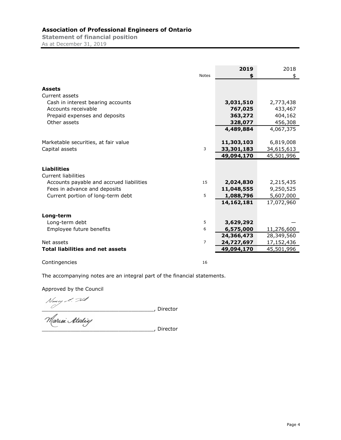# Association of Professional Engineers of Ontario

Statement of financial position As at December 31, 2019

|                                                                                                                                                            | <b>Notes</b>   | 2019<br>\$                                         | 2018<br>\$                                        |
|------------------------------------------------------------------------------------------------------------------------------------------------------------|----------------|----------------------------------------------------|---------------------------------------------------|
| <b>Assets</b>                                                                                                                                              |                |                                                    |                                                   |
| Current assets                                                                                                                                             |                |                                                    |                                                   |
| Cash in interest bearing accounts                                                                                                                          |                | 3,031,510                                          | 2,773,438                                         |
| Accounts receivable                                                                                                                                        |                | 767,025                                            | 433,467                                           |
| Prepaid expenses and deposits<br>Other assets                                                                                                              |                | 363,272                                            | 404,162                                           |
|                                                                                                                                                            |                | 328,077<br>4,489,884                               | 456,308<br>4,067,375                              |
|                                                                                                                                                            |                |                                                    |                                                   |
| Marketable securities, at fair value                                                                                                                       |                | 11,303,103                                         | 6,819,008                                         |
| Capital assets                                                                                                                                             | 3              | 33,301,183                                         | 34,615,613                                        |
|                                                                                                                                                            |                | 49,094,170                                         | 45,501,996                                        |
| <b>Liabilities</b><br>Current liabilities<br>Accounts payable and accrued liabilities<br>Fees in advance and deposits<br>Current portion of long-term debt | 15<br>5        | 2,024,830<br>11,048,555<br>1,088,796<br>14,162,181 | 2,215,435<br>9,250,525<br>5,607,000<br>17,072,960 |
| Long-term                                                                                                                                                  |                |                                                    |                                                   |
| Long-term debt                                                                                                                                             | 5              | 3,629,292                                          |                                                   |
| Employee future benefits                                                                                                                                   | 6              | 6,575,000                                          | 11,276,600                                        |
|                                                                                                                                                            |                | 24,366,473                                         | 28,349,560                                        |
| Net assets                                                                                                                                                 | $\overline{7}$ | 24,727,697                                         | 17,152,436                                        |
| <b>Total liabilities and net assets</b>                                                                                                                    |                | 49,094,170                                         | 45,501,996                                        |
|                                                                                                                                                            |                |                                                    |                                                   |

Contingencies 16

The accompanying notes are an integral part of the financial statements.

Approved by the Council

\_\_\_\_\_\_\_\_\_\_\_\_\_\_\_\_\_\_\_\_\_\_\_\_\_\_\_\_\_\_\_\_\_\_\_, Director

\_\_\_\_\_\_\_\_\_\_\_\_\_\_\_\_\_\_\_\_\_\_\_\_\_\_\_\_\_\_\_\_\_\_\_, Director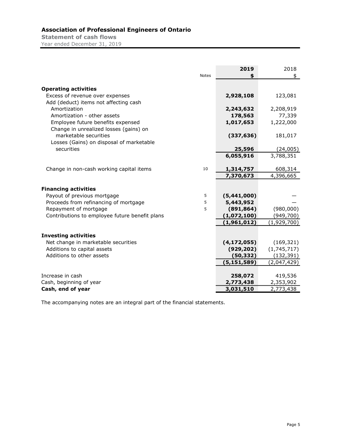# Association of Professional Engineers of Ontario

Statement of cash flows Year ended December 31, 2019

|                                                |              | 2019          | 2018        |
|------------------------------------------------|--------------|---------------|-------------|
|                                                | <b>Notes</b> | \$            | \$          |
| <b>Operating activities</b>                    |              |               |             |
| Excess of revenue over expenses                |              | 2,928,108     | 123,081     |
| Add (deduct) items not affecting cash          |              |               |             |
| Amortization                                   |              | 2,243,632     | 2,208,919   |
| Amortization - other assets                    |              | 178,563       | 77,339      |
| Employee future benefits expensed              |              | 1,017,653     | 1,222,000   |
| Change in unrealized losses (gains) on         |              |               |             |
| marketable securities                          |              | (337, 636)    | 181,017     |
| Losses (Gains) on disposal of marketable       |              |               |             |
| securities                                     |              | 25,596        | (24,005)    |
|                                                |              | 6,055,916     | 3,788,351   |
| Change in non-cash working capital items       | 10           | 1,314,757     | 608,314     |
|                                                |              | 7,370,673     | 4,396,665   |
|                                                |              |               |             |
| <b>Financing activities</b>                    |              |               |             |
| Payout of previous mortgage                    | 5            | (5,441,000)   |             |
| Proceeds from refinancing of mortgage          | 5            | 5,443,952     |             |
| Repayment of mortgage                          | 5            | (891, 864)    | (980,000)   |
| Contributions to employee future benefit plans |              | (1,072,100)   | (949, 700)  |
|                                                |              | (1,961,012)   | (1,929,700) |
| <b>Investing activities</b>                    |              |               |             |
| Net change in marketable securities            |              | (4, 172, 055) | (169, 321)  |
| Additions to capital assets                    |              | (929, 202)    | (1,745,717) |
| Additions to other assets                      |              | (50, 332)     | (132, 391)  |
|                                                |              | (5, 151, 589) | (2,047,429) |
|                                                |              |               |             |
| Increase in cash                               |              | 258,072       | 419,536     |
| Cash, beginning of year                        |              | 2,773,438     | 2,353,902   |
| Cash, end of year                              |              | 3,031,510     | 2,773,438   |

The accompanying notes are an integral part of the financial statements.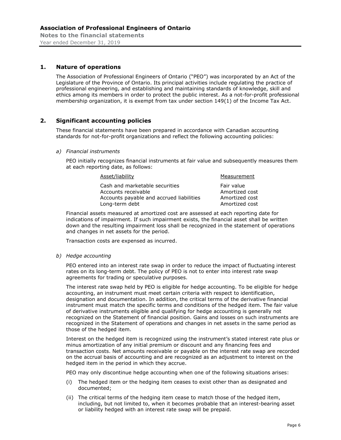#### 1. Nature of operations

The Association of Professional Engineers of Ontario ("PEO") was incorporated by an Act of the Legislature of the Province of Ontario. Its principal activities include regulating the practice of professional engineering, and establishing and maintaining standards of knowledge, skill and ethics among its members in order to protect the public interest. As a not-for-profit professional membership organization, it is exempt from tax under section 149(1) of the Income Tax Act.

#### 2. Significant accounting policies

These financial statements have been prepared in accordance with Canadian accounting standards for not-for-profit organizations and reflect the following accounting policies:

#### a) Financial instruments

PEO initially recognizes financial instruments at fair value and subsequently measures them at each reporting date, as follows:

| Asset/liability                          | Measurement    |
|------------------------------------------|----------------|
| Cash and marketable securities           | Fair value     |
| Accounts receivable                      | Amortized cost |
| Accounts payable and accrued liabilities | Amortized cost |
| Long-term debt                           | Amortized cost |

Financial assets measured at amortized cost are assessed at each reporting date for indications of impairment. If such impairment exists, the financial asset shall be written down and the resulting impairment loss shall be recognized in the statement of operations and changes in net assets for the period.

Transaction costs are expensed as incurred.

b) Hedge accounting

PEO entered into an interest rate swap in order to reduce the impact of fluctuating interest rates on its long-term debt. The policy of PEO is not to enter into interest rate swap agreements for trading or speculative purposes.

The interest rate swap held by PEO is eligible for hedge accounting. To be eligible for hedge accounting, an instrument must meet certain criteria with respect to identification, designation and documentation. In addition, the critical terms of the derivative financial instrument must match the specific terms and conditions of the hedged item. The fair value of derivative instruments eligible and qualifying for hedge accounting is generally not recognized on the Statement of financial position. Gains and losses on such instruments are recognized in the Statement of operations and changes in net assets in the same period as those of the hedged item.

Interest on the hedged item is recognized using the instrument's stated interest rate plus or minus amortization of any initial premium or discount and any financing fees and transaction costs. Net amounts receivable or payable on the interest rate swap are recorded on the accrual basis of accounting and are recognized as an adjustment to interest on the hedged item in the period in which they accrue.

PEO may only discontinue hedge accounting when one of the following situations arises:

- (i) The hedged item or the hedging item ceases to exist other than as designated and documented;
- (ii) The critical terms of the hedging item cease to match those of the hedged item, including, but not limited to, when it becomes probable that an interest-bearing asset or liability hedged with an interest rate swap will be prepaid.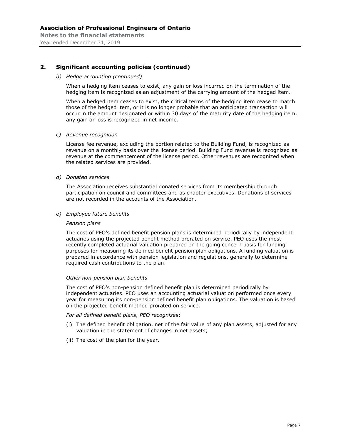# 2. Significant accounting policies (continued)

#### b) Hedge accounting (continued)

When a hedging item ceases to exist, any gain or loss incurred on the termination of the hedging item is recognized as an adjustment of the carrying amount of the hedged item.

When a hedged item ceases to exist, the critical terms of the hedging item cease to match those of the hedged item, or it is no longer probable that an anticipated transaction will occur in the amount designated or within 30 days of the maturity date of the hedging item, any gain or loss is recognized in net income.

#### c) Revenue recognition

License fee revenue, excluding the portion related to the Building Fund, is recognized as revenue on a monthly basis over the license period. Building Fund revenue is recognized as revenue at the commencement of the license period. Other revenues are recognized when the related services are provided.

#### d) Donated services

The Association receives substantial donated services from its membership through participation on council and committees and as chapter executives. Donations of services are not recorded in the accounts of the Association.

#### e) Employee future benefits

#### Pension plans

The cost of PEO's defined benefit pension plans is determined periodically by independent actuaries using the projected benefit method prorated on service. PEO uses the most recently completed actuarial valuation prepared on the going concern basis for funding purposes for measuring its defined benefit pension plan obligations. A funding valuation is prepared in accordance with pension legislation and regulations, generally to determine required cash contributions to the plan.

#### Other non-pension plan benefits

The cost of PEO's non-pension defined benefit plan is determined periodically by independent actuaries. PEO uses an accounting actuarial valuation performed once every year for measuring its non-pension defined benefit plan obligations. The valuation is based on the projected benefit method prorated on service.

#### For all defined benefit plans, PEO recognizes:

- (i) The defined benefit obligation, net of the fair value of any plan assets, adjusted for any valuation in the statement of changes in net assets;
- (ii) The cost of the plan for the year.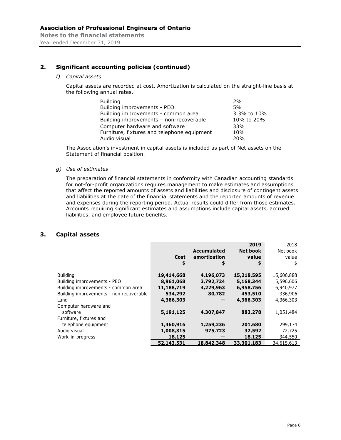# 2. Significant accounting policies (continued)

#### f) Capital assets

Capital assets are recorded at cost. Amortization is calculated on the straight-line basis at the following annual rates.

| <b>Building</b> |                                             | 2%          |
|-----------------|---------------------------------------------|-------------|
|                 | Building improvements - PEO                 | 5%          |
|                 | Building improvements - common area         | 3.3% to 10% |
|                 | Building improvements - non-recoverable     | 10% to 20%  |
|                 | Computer hardware and software              | 33%         |
|                 | Furniture, fixtures and telephone equipment | 10%         |
| Audio visual    |                                             | 20%         |

#### g) Use of estimates

#### 3. Capital assets

|    | Building improvements - PEO                                                                                                                                                                                                                                                                                                                                                                                                                                                                                                      |                       |                     | 2.70<br>5%           |                      |
|----|----------------------------------------------------------------------------------------------------------------------------------------------------------------------------------------------------------------------------------------------------------------------------------------------------------------------------------------------------------------------------------------------------------------------------------------------------------------------------------------------------------------------------------|-----------------------|---------------------|----------------------|----------------------|
|    | Building improvements - common area                                                                                                                                                                                                                                                                                                                                                                                                                                                                                              |                       |                     | 3.3% to 10%          |                      |
|    | Building improvements - non-recoverable                                                                                                                                                                                                                                                                                                                                                                                                                                                                                          |                       |                     | 10% to 20%           |                      |
|    | Computer hardware and software                                                                                                                                                                                                                                                                                                                                                                                                                                                                                                   |                       |                     | 33%                  |                      |
|    | Furniture, fixtures and telephone equipment                                                                                                                                                                                                                                                                                                                                                                                                                                                                                      |                       |                     | 10%                  |                      |
|    | Audio visual                                                                                                                                                                                                                                                                                                                                                                                                                                                                                                                     |                       |                     | 20%                  |                      |
|    | The Association's investment in capital assets is included as part of Net assets on the<br>Statement of financial position.                                                                                                                                                                                                                                                                                                                                                                                                      |                       |                     |                      |                      |
| g) | Use of estimates                                                                                                                                                                                                                                                                                                                                                                                                                                                                                                                 |                       |                     |                      |                      |
|    | for not-for-profit organizations requires management to make estimates and assumptions<br>that affect the reported amounts of assets and liabilities and disclosure of contingent assets<br>and liabilities at the date of the financial statements and the reported amounts of revenue<br>and expenses during the reporting period. Actual results could differ from those estimates.<br>Accounts requiring significant estimates and assumptions include capital assets, accrued<br>liabilities, and employee future benefits. |                       |                     |                      |                      |
|    | <b>Capital assets</b>                                                                                                                                                                                                                                                                                                                                                                                                                                                                                                            |                       |                     |                      |                      |
|    |                                                                                                                                                                                                                                                                                                                                                                                                                                                                                                                                  |                       |                     |                      |                      |
|    |                                                                                                                                                                                                                                                                                                                                                                                                                                                                                                                                  |                       |                     | 2019                 | 2018                 |
|    |                                                                                                                                                                                                                                                                                                                                                                                                                                                                                                                                  | Cost                  | <b>Accumulated</b>  | <b>Net book</b>      | Net book             |
|    |                                                                                                                                                                                                                                                                                                                                                                                                                                                                                                                                  | \$                    | amortization        | value<br>\$          | value<br>\$          |
|    |                                                                                                                                                                                                                                                                                                                                                                                                                                                                                                                                  |                       |                     |                      |                      |
|    | <b>Building</b>                                                                                                                                                                                                                                                                                                                                                                                                                                                                                                                  | 19,414,668            | 4,196,073           | 15,218,595           | 15,606,888           |
|    | Building improvements - PEO                                                                                                                                                                                                                                                                                                                                                                                                                                                                                                      | 8,961,068             | 3,792,724           | 5,168,344            | 5,596,606            |
|    | Building improvements - common area<br>Building improvements - non recoverable                                                                                                                                                                                                                                                                                                                                                                                                                                                   | 11,188,719<br>534,292 | 4,229,963<br>80,782 | 6,958,756<br>453,510 | 6,940,977<br>336,906 |
|    | Land                                                                                                                                                                                                                                                                                                                                                                                                                                                                                                                             | 4,366,303             |                     | 4,366,303            | 4,366,303            |
|    | Computer hardware and                                                                                                                                                                                                                                                                                                                                                                                                                                                                                                            |                       |                     |                      |                      |
|    | software                                                                                                                                                                                                                                                                                                                                                                                                                                                                                                                         | 5,191,125             | 4,307,847           | 883,278              | 1,051,484            |
|    | Furniture, fixtures and                                                                                                                                                                                                                                                                                                                                                                                                                                                                                                          |                       |                     |                      |                      |
|    | telephone equipment                                                                                                                                                                                                                                                                                                                                                                                                                                                                                                              | 1,460,916             | 1,259,236           | 201,680              | 299,174              |
|    | Audio visual<br>Work-in-progress                                                                                                                                                                                                                                                                                                                                                                                                                                                                                                 | 1,008,315<br>18,125   | 975,723             | 32,592<br>18,125     | 72,725<br>344,550    |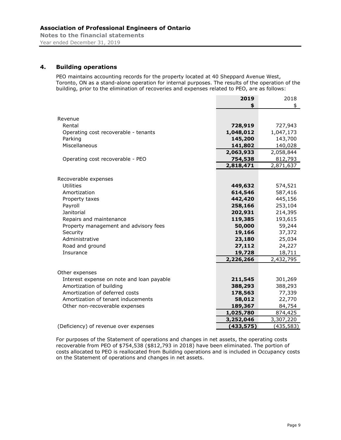## 4. Building operations

PEO maintains accounting records for the property located at 40 Sheppard Avenue West, Toronto, ON as a stand-alone operation for internal purposes. The results of the operation of the building, prior to the elimination of recoveries and expenses related to PEO, are as follows:

|                                           | 2019       | 2018       |
|-------------------------------------------|------------|------------|
|                                           | \$         | \$         |
|                                           |            |            |
| Revenue                                   |            |            |
| Rental                                    | 728,919    | 727,943    |
| Operating cost recoverable - tenants      | 1,048,012  | 1,047,173  |
| Parking                                   | 145,200    | 143,700    |
| Miscellaneous                             | 141,802    | 140,028    |
|                                           | 2,063,933  | 2,058,844  |
| Operating cost recoverable - PEO          | 754,538    | 812,793    |
|                                           | 2,818,471  | 2,871,637  |
|                                           |            |            |
| Recoverable expenses                      |            |            |
| Utilities                                 | 449,632    | 574,521    |
| Amortization                              | 614,546    | 587,416    |
| Property taxes                            | 442,420    | 445,156    |
| Payroll                                   | 258,166    | 253,104    |
| Janitorial                                | 202,931    | 214,395    |
| Repairs and maintenance                   | 119,385    | 193,615    |
| Property management and advisory fees     | 50,000     | 59,244     |
| Security                                  | 19,166     | 37,372     |
| Administrative                            | 23,180     | 25,034     |
| Road and ground                           | 27,112     | 24,227     |
| Insurance                                 | 19,728     | 18,711     |
|                                           | 2,226,266  | 2,432,795  |
|                                           |            |            |
| Other expenses                            |            |            |
| Interest expense on note and loan payable | 211,545    | 301,269    |
| Amortization of building                  | 388,293    | 388,293    |
| Amortization of deferred costs            | 178,563    | 77,339     |
| Amortization of tenant inducements        | 58,012     | 22,770     |
| Other non-recoverable expenses            | 189,367    | 84,754     |
|                                           | 1,025,780  | 874,425    |
|                                           | 3,252,046  | 3,307,220  |
| (Deficiency) of revenue over expenses     | (433, 575) | (435, 583) |

For purposes of the Statement of operations and changes in net assets, the operating costs recoverable from PEO of \$754,538 (\$812,793 in 2018) have been eliminated. The portion of costs allocated to PEO is reallocated from Building operations and is included in Occupancy costs on the Statement of operations and changes in net assets.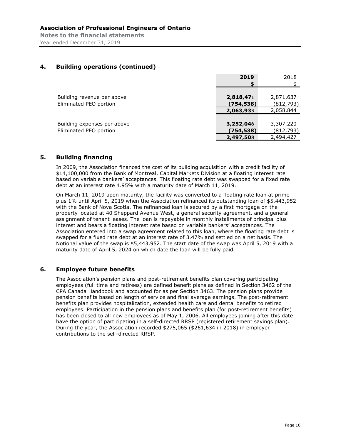# 4. Building operations (continued)

|                             | 2019       | 2018       |
|-----------------------------|------------|------------|
|                             | S          |            |
|                             |            |            |
| Building revenue per above  | 2,818,471  | 2,871,637  |
| Eliminated PEO portion      | (754, 538) | (812, 793) |
|                             | 2,063,933  | 2,058,844  |
|                             |            |            |
| Building expenses per above | 3,252,046  | 3,307,220  |
| Eliminated PEO portion      | (754,538)  | (812, 793) |
|                             | 2,497,508  | 2,494,427  |

# 5. Building financing

In 2009, the Association financed the cost of its building acquisition with a credit facility of \$14,100,000 from the Bank of Montreal, Capital Markets Division at a floating interest rate based on variable bankers' acceptances. This floating rate debt was swapped for a fixed rate debt at an interest rate 4.95% with a maturity date of March 11, 2019.

On March 11, 2019 upon maturity, the facility was converted to a floating rate loan at prime plus 1% until April 5, 2019 when the Association refinanced its outstanding loan of \$5,443,952 with the Bank of Nova Scotia. The refinanced loan is secured by a first mortgage on the property located at 40 Sheppard Avenue West, a general security agreement, and a general assignment of tenant leases. The loan is repayable in monthly installments of principal plus interest and bears a floating interest rate based on variable bankers' acceptances. The Association entered into a swap agreement related to this loan, where the floating rate debt is swapped for a fixed rate debt at an interest rate of 3.47% and settled on a net basis. The Notional value of the swap is \$5,443,952. The start date of the swap was April 5, 2019 with a maturity date of April 5, 2024 on which date the loan will be fully paid.

# 6. Employee future benefits

The Association's pension plans and post-retirement benefits plan covering participating employees (full time and retirees) are defined benefit plans as defined in Section 3462 of the CPA Canada Handbook and accounted for as per Section 3463. The pension plans provide pension benefits based on length of service and final average earnings. The post-retirement benefits plan provides hospitalization, extended health care and dental benefits to retired employees. Participation in the pension plans and benefits plan (for post-retirement benefits) has been closed to all new employees as of May 1, 2006. All employees joining after this date have the option of participating in a self-directed RRSP (registered retirement savings plan). During the year, the Association recorded \$275,065 (\$261,634 in 2018) in employer contributions to the self-directed RRSP.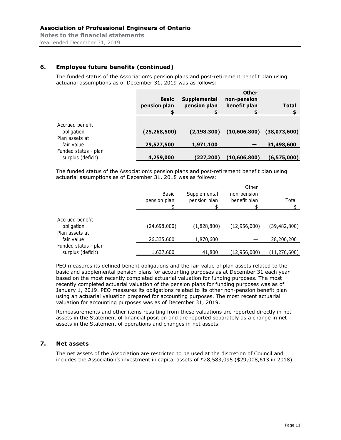# 6. Employee future benefits (continued)

| ciation of Professional Engineers of Ontario<br>s to the financial statements                                                                                                                               |                                    |                                    |                                                   |                            |
|-------------------------------------------------------------------------------------------------------------------------------------------------------------------------------------------------------------|------------------------------------|------------------------------------|---------------------------------------------------|----------------------------|
| nded December 31, 2019                                                                                                                                                                                      |                                    |                                    |                                                   |                            |
| <b>Employee future benefits (continued)</b><br>The funded status of the Association's pension plans and post-retirement benefit plan using<br>actuarial assumptions as of December 31, 2019 was as follows: |                                    |                                    |                                                   |                            |
|                                                                                                                                                                                                             | <b>Basic</b><br>pension plan<br>\$ | Supplemental<br>pension plan<br>\$ | <b>Other</b><br>non-pension<br>benefit plan<br>\$ | <b>Total</b><br>\$         |
| Accrued benefit<br>obligation<br>Plan assets at<br>fair value                                                                                                                                               | (25, 268, 500)<br>29,527,500       | (2, 198, 300)<br>1,971,100         | (10,606,800)                                      | (38,073,600)<br>31,498,600 |
| Funded status - plan<br>surplus (deficit)                                                                                                                                                                   | 4,259,000                          | (227, 200)                         | (10,606,800)                                      | (6,575,000)                |
| The funded status of the Association's pension plans and post-retirement benefit plan using<br>actuarial assumptions as of December 31, 2018 was as follows:                                                |                                    |                                    |                                                   |                            |
|                                                                                                                                                                                                             | Basic                              | Supplemental                       | Other<br>non-pension                              |                            |
|                                                                                                                                                                                                             | pension plan<br>\$                 | pension plan<br>\$                 | benefit plan<br>\$                                | Total<br>\$                |
| Accrued benefit                                                                                                                                                                                             |                                    |                                    |                                                   |                            |
| obligation<br>Plan assets at                                                                                                                                                                                | (24, 698, 000)                     | (1,828,800)                        | (12,956,000)                                      | (39, 482, 800)             |
| fair value                                                                                                                                                                                                  | 26.335.600                         | 1.870.600                          |                                                   | חחר גחר פר                 |

|                                                                                                                                                              | <b>Basic</b><br>pension plan | Supplemental<br>pension plan | <b>Other</b><br>non-pension<br>benefit plan | <b>Total</b>   |
|--------------------------------------------------------------------------------------------------------------------------------------------------------------|------------------------------|------------------------------|---------------------------------------------|----------------|
| Accrued benefit                                                                                                                                              |                              |                              |                                             |                |
| obligation                                                                                                                                                   | (25, 268, 500)               | (2, 198, 300)                | (10,606,800)                                | (38,073,600)   |
| Plan assets at                                                                                                                                               |                              |                              |                                             |                |
| fair value                                                                                                                                                   | 29,527,500                   | 1,971,100                    |                                             | 31,498,600     |
| Funded status - plan                                                                                                                                         |                              |                              |                                             |                |
|                                                                                                                                                              |                              |                              |                                             |                |
| surplus (deficit)                                                                                                                                            | 4,259,000                    | (227, 200)                   | (10,606,800)                                | (6,575,000)    |
| The funded status of the Association's pension plans and post-retirement benefit plan using<br>actuarial assumptions as of December 31, 2018 was as follows: | <b>Basic</b><br>pension plan | Supplemental<br>pension plan | Other<br>non-pension<br>benefit plan        | Total          |
| Accrued benefit<br>obligation                                                                                                                                | (24, 698, 000)               | (1,828,800)                  | (12,956,000)                                | (39, 482, 800) |
| Plan assets at<br>fair value                                                                                                                                 | 26,335,600                   | 1,870,600                    |                                             | 28,206,200     |

PEO measures its defined benefit obligations and the fair value of plan assets related to the basic and supplemental pension plans for accounting purposes as at December 31 each year based on the most recently completed actuarial valuation for funding purposes. The most recently completed actuarial valuation of the pension plans for funding purposes was as of January 1, 2019. PEO measures its obligations related to its other non-pension benefit plan using an actuarial valuation prepared for accounting purposes. The most recent actuarial valuation for accounting purposes was as of December 31, 2019.

Remeasurements and other items resulting from these valuations are reported directly in net assets in the Statement of financial position and are reported separately as a change in net assets in the Statement of operations and changes in net assets.

# 7. Net assets

The net assets of the Association are restricted to be used at the discretion of Council and includes the Association's investment in capital assets of \$28,583,095 (\$29,008,613 in 2018).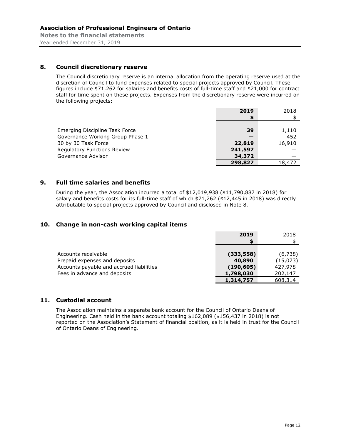#### 8. Council discretionary reserve

The Council discretionary reserve is an internal allocation from the operating reserve used at the discretion of Council to fund expenses related to special projects approved by Council. These figures include \$71,262 for salaries and benefits costs of full-time staff and \$21,000 for contract staff for time spent on these projects. Expenses from the discretionary reserve were incurred on the following projects:

|                                       | 2019    | 2018   |
|---------------------------------------|---------|--------|
|                                       |         |        |
|                                       |         |        |
| <b>Emerging Discipline Task Force</b> | 39      | 1,110  |
| Governance Working Group Phase 1      |         | 452    |
| 30 by 30 Task Force                   | 22,819  | 16,910 |
| <b>Regulatory Functions Review</b>    | 241,597 |        |
| Governance Advisor                    | 34,372  |        |
|                                       | 298,827 | 18,472 |

# 9. Full time salaries and benefits

During the year, the Association incurred a total of \$12,019,938 (\$11,790,887 in 2018) for salary and benefits costs for its full-time staff of which \$71,262 (\$12,445 in 2018) was directly attributable to special projects approved by Council and disclosed in Note 8.

# 10. Change in non-cash working capital items

|                                          | 2019       | 2018     |
|------------------------------------------|------------|----------|
|                                          |            |          |
|                                          |            |          |
| Accounts receivable                      | (333,558)  | (6, 738) |
| Prepaid expenses and deposits            | 40,890     | (15,073) |
| Accounts payable and accrued liabilities | (190, 605) | 427,978  |
| Fees in advance and deposits             | 1,798,030  | 202,147  |
|                                          | 1,314,757  | 608,314  |

# 11. Custodial account

The Association maintains a separate bank account for the Council of Ontario Deans of Engineering. Cash held in the bank account totaling \$162,089 (\$156,437 in 2018) is not reported on the Association's Statement of financial position, as it is held in trust for the Council of Ontario Deans of Engineering.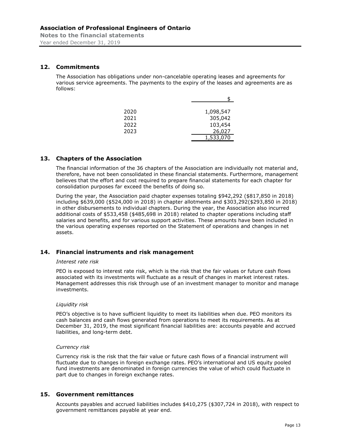## 12. Commitments

The Association has obligations under non-cancelable operating leases and agreements for various service agreements. The payments to the expiry of the leases and agreements are as follows:

#### 13. Chapters of the Association

The financial information of the 36 chapters of the Association are individually not material and, therefore, have not been consolidated in these financial statements. Furthermore, management believes that the effort and cost required to prepare financial statements for each chapter for consolidation purposes far exceed the benefits of doing so.

During the year, the Association paid chapter expenses totaling \$942,292 (\$817,850 in 2018) including \$639,000 (\$524,000 in 2018) in chapter allotments and \$303,292(\$293,850 in 2018) in other disbursements to individual chapters. During the year, the Association also incurred additional costs of \$533,458 (\$485,698 in 2018) related to chapter operations including staff salaries and benefits, and for various support activities. These amounts have been included in the various operating expenses reported on the Statement of operations and changes in net assets.

# 14. Financial instruments and risk management

#### Interest rate risk

PEO is exposed to interest rate risk, which is the risk that the fair values or future cash flows associated with its investments will fluctuate as a result of changes in market interest rates. Management addresses this risk through use of an investment manager to monitor and manage investments.

#### Liquidity risk

PEO's objective is to have sufficient liquidity to meet its liabilities when due. PEO monitors its cash balances and cash flows generated from operations to meet its requirements. As at December 31, 2019, the most significant financial liabilities are: accounts payable and accrued liabilities, and long-term debt.

#### Currency risk

Currency risk is the risk that the fair value or future cash flows of a financial instrument will fluctuate due to changes in foreign exchange rates. PEO's international and US equity pooled fund investments are denominated in foreign currencies the value of which could fluctuate in part due to changes in foreign exchange rates.

#### 15. Government remittances

Accounts payables and accrued liabilities includes \$410,275 (\$307,724 in 2018), with respect to government remittances payable at year end.